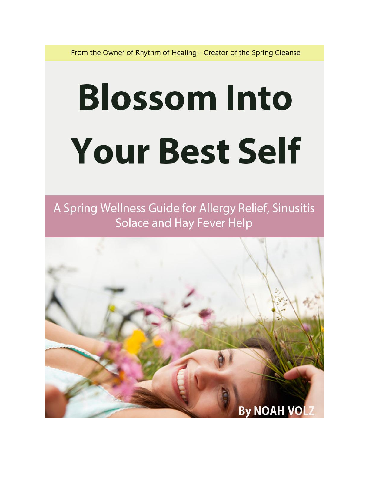From the Owner of Rhythm of Healing - Creator of the Spring Cleanse

# **Blossom Into Your Best Self**

A Spring Wellness Guide for Allergy Relief, Sinusitis Solace and Hay Fever Help

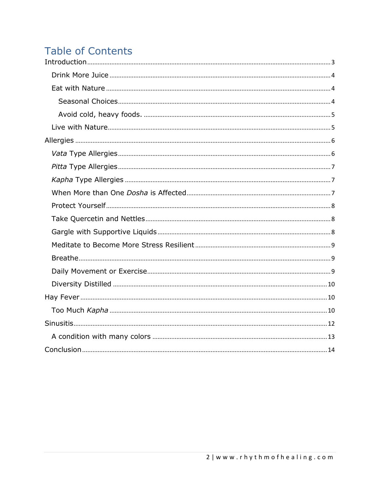## **Table of Contents**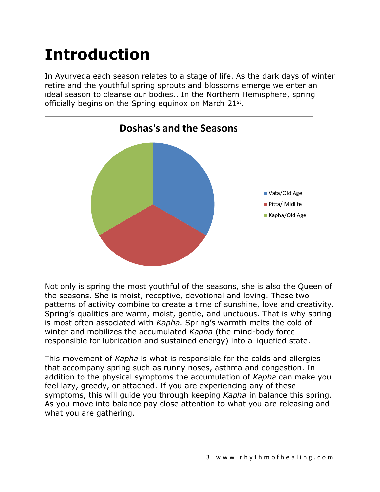# <span id="page-2-0"></span>**Introduction**

In Ayurveda each season relates to a stage of life. As the dark days of winter retire and the youthful spring sprouts and blossoms emerge we enter an ideal season to cleanse our bodies.. In the Northern Hemisphere, spring officially begins on the Spring equinox on March 21st.



Not only is spring the most youthful of the seasons, she is also the Queen of the seasons. She is moist, receptive, devotional and loving. These two patterns of activity combine to create a time of sunshine, love and creativity. Spring's qualities are warm, moist, gentle, and unctuous. That is why spring is most often associated with *Kapha*. Spring's warmth melts the cold of winter and mobilizes the accumulated *Kapha* (the mind-body force responsible for lubrication and sustained energy) into a liquefied state.

This movement of *Kapha* is what is responsible for the colds and allergies that accompany spring such as runny noses, asthma and congestion. In addition to the physical symptoms the accumulation of *Kapha* can make you feel lazy, greedy, or attached. If you are experiencing any of these symptoms, this will guide you through keeping *Kapha* in balance this spring. As you move into balance pay close attention to what you are releasing and what you are gathering.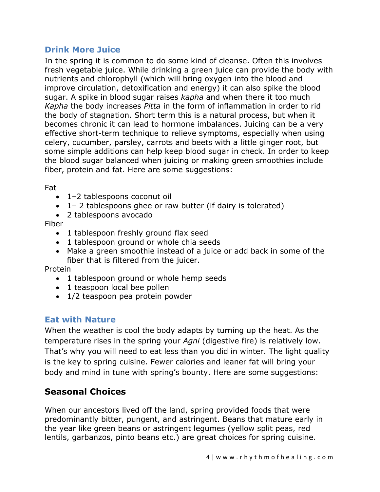#### <span id="page-3-0"></span>**Drink More Juice**

In the spring it is common to do some kind of cleanse. Often this involves fresh vegetable juice. While drinking a green juice can provide the body with nutrients and chlorophyll (which will bring oxygen into the blood and improve circulation, detoxification and energy) it can also spike the blood sugar. A spike in blood sugar raises *kapha* and when there it too much *Kapha* the body increases *Pitta* in the form of inflammation in order to rid the body of stagnation. Short term this is a natural process, but when it becomes chronic it can lead to hormone imbalances. Juicing can be a very effective short-term technique to relieve symptoms, especially when using celery, cucumber, parsley, carrots and beets with a little ginger root, but some simple additions can help keep blood sugar in check. In order to keep the blood sugar balanced when juicing or making green smoothies include fiber, protein and fat. Here are some suggestions:

Fat

- 1–2 tablespoons coconut oil
- 1– 2 tablespoons ghee or raw butter (if dairy is tolerated)
- 2 tablespoons avocado

Fiber

- 1 tablespoon freshly ground flax seed
- 1 tablespoon ground or whole chia seeds
- Make a green smoothie instead of a juice or add back in some of the fiber that is filtered from the juicer.

Protein

- 1 tablespoon ground or whole hemp seeds
- 1 teaspoon local bee pollen
- 1/2 teaspoon pea protein powder

#### <span id="page-3-1"></span>**Eat with Nature**

When the weather is cool the body adapts by turning up the heat. As the temperature rises in the spring your *Agni* (digestive fire) is relatively low. That's why you will need to eat less than you did in winter. The light quality is the key to spring cuisine. Fewer calories and leaner fat will bring your body and mind in tune with spring's bounty. Here are some suggestions:

## <span id="page-3-2"></span>**Seasonal Choices**

When our ancestors lived off the land, spring provided foods that were predominantly bitter, pungent, and astringent. Beans that mature early in the year like green beans or astringent legumes (yellow split peas, red lentils, garbanzos, pinto beans etc.) are great choices for spring cuisine.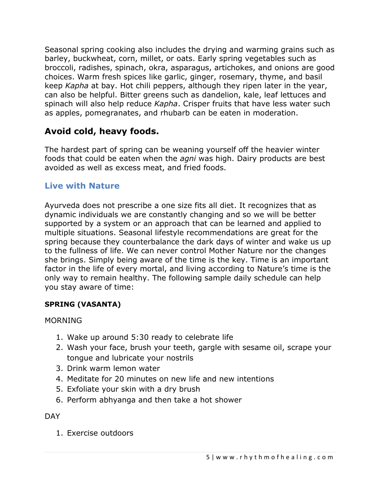Seasonal spring cooking also includes the drying and warming grains such as barley, buckwheat, corn, millet, or oats. Early spring vegetables such as broccoli, radishes, spinach, okra, asparagus, artichokes, and onions are good choices. Warm fresh spices like garlic, ginger, rosemary, thyme, and basil keep *Kapha* at bay. Hot chili peppers, although they ripen later in the year, can also be helpful. Bitter greens such as dandelion, kale, leaf lettuces and spinach will also help reduce *Kapha*. Crisper fruits that have less water such as apples, pomegranates, and rhubarb can be eaten in moderation.

## <span id="page-4-0"></span>**Avoid cold, heavy foods.**

The hardest part of spring can be weaning yourself off the heavier winter foods that could be eaten when the *agni* was high. Dairy products are best avoided as well as excess meat, and fried foods.

#### <span id="page-4-1"></span>**Live with Nature**

Ayurveda does not prescribe a one size fits all diet. It recognizes that as dynamic individuals we are constantly changing and so we will be better supported by a system or an approach that can be learned and applied to multiple situations. Seasonal lifestyle recommendations are great for the spring because they counterbalance the dark days of winter and wake us up to the fullness of life. We can never control Mother Nature nor the changes she brings. Simply being aware of the time is the key. Time is an important factor in the life of every mortal, and living according to Nature's time is the only way to remain healthy. The following sample daily schedule can help you stay aware of time:

#### **SPRING (VASANTA)**

#### MORNING

- 1. Wake up around 5:30 ready to celebrate life
- 2. Wash your face, brush your teeth, gargle with sesame oil, scrape your tongue and lubricate your nostrils
- 3. Drink warm lemon water
- 4. Meditate for 20 minutes on new life and new intentions
- 5. Exfoliate your skin with a dry brush
- 6. Perform abhyanga and then take a hot shower

**DAY** 

1. Exercise outdoors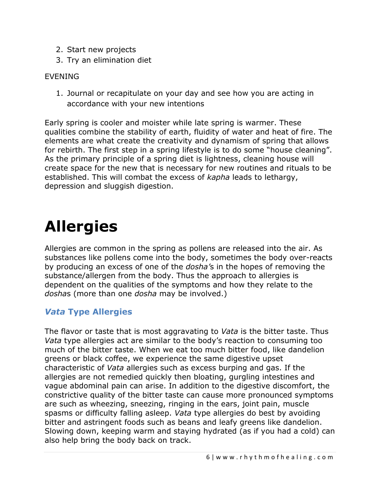- 2. Start new projects
- 3. Try an elimination diet

#### EVENING

1. Journal or recapitulate on your day and see how you are acting in accordance with your new intentions

Early spring is cooler and moister while late spring is warmer. These qualities combine the stability of earth, fluidity of water and heat of fire. The elements are what create the creativity and dynamism of spring that allows for rebirth. The first step in a spring lifestyle is to do some "house cleaning". As the primary principle of a spring diet is lightness, cleaning house will create space for the new that is necessary for new routines and rituals to be established. This will combat the excess of *kapha* leads to lethargy, depression and sluggish digestion.

# <span id="page-5-0"></span>**Allergies**

Allergies are common in the spring as pollens are released into the air. As substances like pollens come into the body, sometimes the body over-reacts by producing an excess of one of the *dosha'*s in the hopes of removing the substance/allergen from the body. Thus the approach to allergies is dependent on the qualities of the symptoms and how they relate to the *dosha*s (more than one *dosha* may be involved.)

## <span id="page-5-1"></span>*Vata* **Type Allergies**

The flavor or taste that is most aggravating to *Vata* is the bitter taste. Thus *Vata* type allergies act are similar to the body's reaction to consuming too much of the bitter taste. When we eat too much bitter food, like dandelion greens or black coffee, we experience the same digestive upset characteristic of *Vata* allergies such as excess burping and gas. If the allergies are not remedied quickly then bloating, gurgling intestines and vague abdominal pain can arise. In addition to the digestive discomfort, the constrictive quality of the bitter taste can cause more pronounced symptoms are such as wheezing, sneezing, ringing in the ears, joint pain, muscle spasms or difficulty falling asleep. *Vata* type allergies do best by avoiding bitter and astringent foods such as beans and leafy greens like dandelion. Slowing down, keeping warm and staying hydrated (as if you had a cold) can also help bring the body back on track.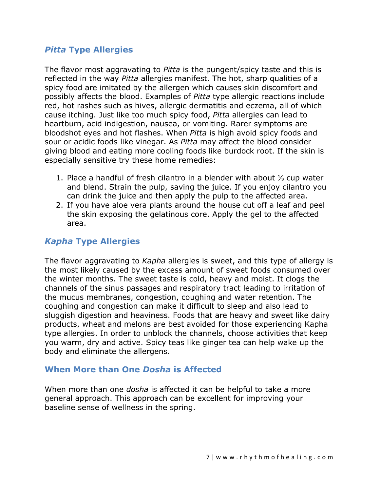#### <span id="page-6-0"></span>*Pitta* **Type Allergies**

The flavor most aggravating to *Pitta* is the pungent/spicy taste and this is reflected in the way *Pitta* allergies manifest. The hot, sharp qualities of a spicy food are imitated by the allergen which causes skin discomfort and possibly affects the blood. Examples of *Pitta* type allergic reactions include red, hot rashes such as hives, allergic dermatitis and eczema, all of which cause itching. Just like too much spicy food, *Pitta* allergies can lead to heartburn, acid indigestion, nausea, or vomiting. Rarer symptoms are bloodshot eyes and hot flashes. When *Pitta* is high avoid spicy foods and sour or acidic foods like vinegar. As *Pitta* may affect the blood consider giving blood and eating more cooling foods like burdock root. If the skin is especially sensitive try these home remedies:

- 1. Place a handful of fresh cilantro in a blender with about ⅓ cup water and blend. Strain the pulp, saving the juice. If you enjoy cilantro you can drink the juice and then apply the pulp to the affected area.
- 2. If you have aloe vera plants around the house cut off a leaf and peel the skin exposing the gelatinous core. Apply the gel to the affected area.

#### <span id="page-6-1"></span>*Kapha* **Type Allergies**

The flavor aggravating to *Kapha* allergies is sweet, and this type of allergy is the most likely caused by the excess amount of sweet foods consumed over the winter months. The sweet taste is cold, heavy and moist. It clogs the channels of the sinus passages and respiratory tract leading to irritation of the mucus membranes, congestion, coughing and water retention. The coughing and congestion can make it difficult to sleep and also lead to sluggish digestion and heaviness. Foods that are heavy and sweet like dairy products, wheat and melons are best avoided for those experiencing Kapha type allergies. In order to unblock the channels, choose activities that keep you warm, dry and active. Spicy teas like ginger tea can help wake up the body and eliminate the allergens.

#### <span id="page-6-2"></span>**When More than One** *Dosha* **is Affected**

When more than one *dosha* is affected it can be helpful to take a more general approach. This approach can be excellent for improving your baseline sense of wellness in the spring.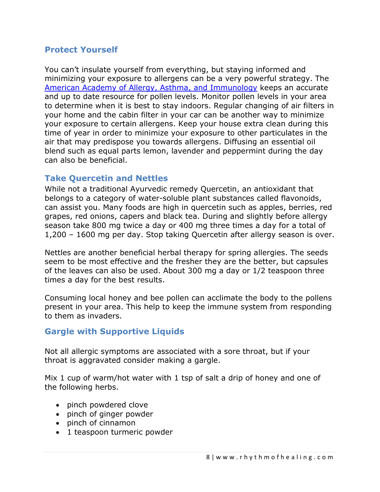#### <span id="page-7-0"></span>**Protect Yourself**

You can't insulate yourself from everything, but staying informed and minimizing your exposure to allergens can be a very powerful strategy. The [American Academy of Allergy,](http://www.aaaai.org/global/nab-pollen-counts.aspx) Asthma, and Immunology keeps an accurate and up to date resource for pollen levels. Monitor pollen levels in your area to determine when it is best to stay indoors. Regular changing of air filters in your home and the cabin filter in your car can be another way to minimize your exposure to certain allergens. Keep your house extra clean during this time of year in order to minimize your exposure to other particulates in the air that may predispose you towards allergens. Diffusing an essential oil blend such as equal parts lemon, lavender and peppermint during the day can also be beneficial.

#### <span id="page-7-1"></span>**Take Quercetin and Nettles**

While not a traditional Ayurvedic remedy Quercetin, an antioxidant that belongs to a category of water-soluble plant substances called flavonoids, can assist you. Many foods are high in quercetin such as apples, berries, red grapes, red onions, capers and black tea. During and slightly before allergy season take 800 mg twice a day or 400 mg three times a day for a total of 1,200 – 1600 mg per day. Stop taking Quercetin after allergy season is over.

Nettles are another beneficial herbal therapy for spring allergies. The seeds seem to be most effective and the fresher they are the better, but capsules of the leaves can also be used. About 300 mg a day or 1/2 teaspoon three times a day for the best results.

Consuming local honey and bee pollen can acclimate the body to the pollens present in your area. This help to keep the immune system from responding to them as invaders.

#### <span id="page-7-2"></span>**Gargle with Supportive Liquids**

Not all allergic symptoms are associated with a sore throat, but if your throat is aggravated consider making a gargle.

Mix 1 cup of warm/hot water with 1 tsp of salt a drip of honey and one of the following herbs.

- pinch powdered clove
- pinch of ginger powder
- pinch of cinnamon
- 1 teaspoon turmeric powder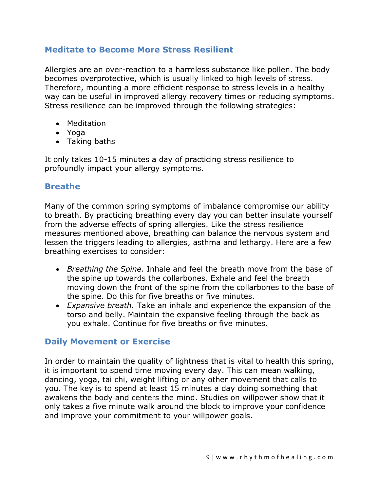#### <span id="page-8-0"></span>**Meditate to Become More Stress Resilient**

Allergies are an over-reaction to a harmless substance like pollen. The body becomes overprotective, which is usually linked to high levels of stress. Therefore, mounting a more efficient response to stress levels in a healthy way can be useful in improved allergy recovery times or reducing symptoms. Stress resilience can be improved through the following strategies:

- Meditation
- Yoga
- Taking baths

It only takes 10-15 minutes a day of practicing stress resilience to profoundly impact your allergy symptoms.

#### <span id="page-8-1"></span>**Breathe**

Many of the common spring symptoms of imbalance compromise our ability to breath. By practicing breathing every day you can better insulate yourself from the adverse effects of spring allergies. Like the stress resilience measures mentioned above, breathing can balance the nervous system and lessen the triggers leading to allergies, asthma and lethargy. Here are a few breathing exercises to consider:

- *Breathing the Spine.* Inhale and feel the breath move from the base of the spine up towards the collarbones. Exhale and feel the breath moving down the front of the spine from the collarbones to the base of the spine. Do this for five breaths or five minutes.
- *Expansive breath.* Take an inhale and experience the expansion of the torso and belly. Maintain the expansive feeling through the back as you exhale. Continue for five breaths or five minutes.

#### <span id="page-8-2"></span>**Daily Movement or Exercise**

In order to maintain the quality of lightness that is vital to health this spring, it is important to spend time moving every day. This can mean walking, dancing, yoga, tai chi, weight lifting or any other movement that calls to you. The key is to spend at least 15 minutes a day doing something that awakens the body and centers the mind. Studies on willpower show that it only takes a five minute walk around the block to improve your confidence and improve your commitment to your willpower goals.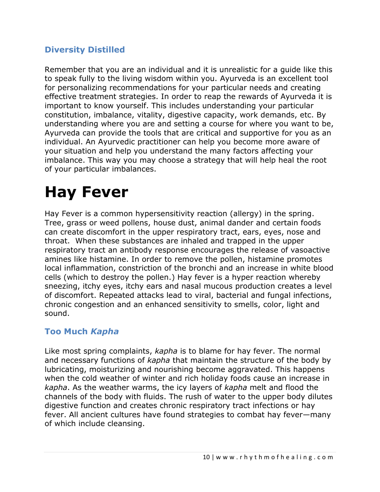#### <span id="page-9-0"></span>**Diversity Distilled**

Remember that you are an individual and it is unrealistic for a guide like this to speak fully to the living wisdom within you. Ayurveda is an excellent tool for personalizing recommendations for your particular needs and creating effective treatment strategies. In order to reap the rewards of Ayurveda it is important to know yourself. This includes understanding your particular constitution, imbalance, vitality, digestive capacity, work demands, etc. By understanding where you are and setting a course for where you want to be, Ayurveda can provide the tools that are critical and supportive for you as an individual. An Ayurvedic practitioner can help you become more aware of your situation and help you understand the many factors affecting your imbalance. This way you may choose a strategy that will help heal the root of your particular imbalances.

# <span id="page-9-1"></span>**Hay Fever**

Hay Fever is a common hypersensitivity reaction (allergy) in the spring. Tree, grass or weed pollens, house dust, animal dander and certain foods can create discomfort in the upper respiratory tract, ears, eyes, nose and throat. When these substances are inhaled and trapped in the upper respiratory tract an antibody response encourages the release of vasoactive amines like histamine. In order to remove the pollen, histamine promotes local inflammation, constriction of the bronchi and an increase in white blood cells (which to destroy the pollen.) Hay fever is a hyper reaction whereby sneezing, itchy eyes, itchy ears and nasal mucous production creates a level of discomfort. Repeated attacks lead to viral, bacterial and fungal infections, chronic congestion and an enhanced sensitivity to smells, color, light and sound.

#### <span id="page-9-2"></span>**Too Much** *Kapha*

Like most spring complaints, *kapha* is to blame for hay fever. The normal and necessary functions of *kapha* that maintain the structure of the body by lubricating, moisturizing and nourishing become aggravated. This happens when the cold weather of winter and rich holiday foods cause an increase in *kapha*. As the weather warms, the icy layers of *kapha* melt and flood the channels of the body with fluids. The rush of water to the upper body dilutes digestive function and creates chronic respiratory tract infections or hay fever. All ancient cultures have found strategies to combat hay fever—many of which include cleansing.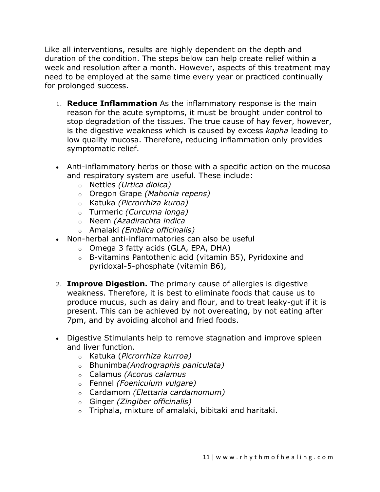Like all interventions, results are highly dependent on the depth and duration of the condition. The steps below can help create relief within a week and resolution after a month. However, aspects of this treatment may need to be employed at the same time every year or practiced continually for prolonged success.

- 1. **Reduce Inflammation** As the inflammatory response is the main reason for the acute symptoms, it must be brought under control to stop degradation of the tissues. The true cause of hay fever, however, is the digestive weakness which is caused by excess *kapha* leading to low quality mucosa. Therefore, reducing inflammation only provides symptomatic relief.
- Anti-inflammatory herbs or those with a specific action on the mucosa and respiratory system are useful. These include:
	- o Nettles *(Urtica dioica)*
	- o Oregon Grape *(Mahonia repens)*
	- o Katuka *(Picrorrhiza kuroa)*
	- o Turmeric *(Curcuma longa)*
	- o Neem *(Azadirachta indica*
	- o Amalaki *(Emblica officinalis)*
- Non-herbal anti-inflammatories can also be useful
	- o Omega 3 fatty acids (GLA, EPA, DHA)
	- o B-vitamins Pantothenic acid (vitamin B5), Pyridoxine and pyridoxal-5-phosphate (vitamin B6),
- 2. **Improve Digestion.** The primary cause of allergies is digestive weakness. Therefore, it is best to eliminate foods that cause us to produce mucus, such as dairy and flour, and to treat leaky-gut if it is present. This can be achieved by not overeating, by not eating after 7pm, and by avoiding alcohol and fried foods.
- Digestive Stimulants help to remove stagnation and improve spleen and liver function.
	- o Katuka (*Picrorrhiza kurroa)*
	- o Bhunimba*(Andrographis paniculata)*
	- o Calamus *(Acorus calamus*
	- o Fennel *(Foeniculum vulgare)*
	- o Cardamom *(Elettaria cardamomum)*
	- o Ginger *(Zingiber officinalis)*
	- o Triphala, mixture of amalaki, bibitaki and haritaki.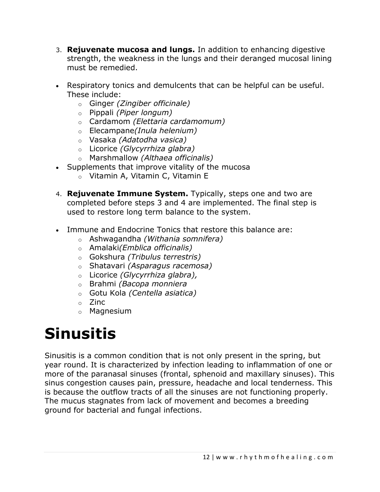- 3. **Rejuvenate mucosa and lungs.** In addition to enhancing digestive strength, the weakness in the lungs and their deranged mucosal lining must be remedied.
- Respiratory tonics and demulcents that can be helpful can be useful. These include:
	- o Ginger *(Zingiber officinale)*
	- o Pippali *(Piper longum)*
	- o Cardamom *(Elettaria cardamomum)*
	- o Elecampane*(Inula helenium)*
	- o Vasaka *(Adatodha vasica)*
	- o Licorice *(Glycyrrhiza glabra)*
	- o Marshmallow *(Althaea officinalis)*
- Supplements that improve vitality of the mucosa
	- o Vitamin A, Vitamin C, Vitamin E
- 4. **Rejuvenate Immune System.** Typically, steps one and two are completed before steps 3 and 4 are implemented. The final step is used to restore long term balance to the system.
- Immune and Endocrine Tonics that restore this balance are:
	- o Ashwagandha *(Withania somnifera)*
	- o Amalaki*(Emblica officinalis)*
	- o Gokshura *(Tribulus terrestris)*
	- o Shatavari *(Asparagus racemosa)*
	- o Licorice *(Glycyrrhiza glabra),*
	- o Brahmi *(Bacopa monniera*
	- o Gotu Kola *(Centella asiatica)*
	- o Zinc
	- o Magnesium

# <span id="page-11-0"></span>**Sinusitis**

Sinusitis is a common condition that is not only present in the spring, but year round. It is characterized by infection leading to inflammation of one or more of the paranasal sinuses (frontal, sphenoid and maxillary sinuses). This sinus congestion causes pain, pressure, headache and local tenderness. This is because the outflow tracts of all the sinuses are not functioning properly. The mucus stagnates from lack of movement and becomes a breeding ground for bacterial and fungal infections.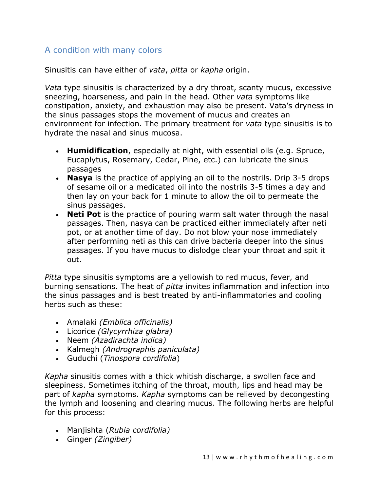## <span id="page-12-0"></span>A condition with many colors

Sinusitis can have either of *vata*, *pitta* or *kapha* origin.

*Vata* type sinusitis is characterized by a dry throat, scanty mucus, excessive sneezing, hoarseness, and pain in the head. Other *vata* symptoms like constipation, anxiety, and exhaustion may also be present. Vata's dryness in the sinus passages stops the movement of mucus and creates an environment for infection. The primary treatment for *vata* type sinusitis is to hydrate the nasal and sinus mucosa.

- **Humidification**, especially at night, with essential oils (e.g. Spruce, Eucaplytus, Rosemary, Cedar, Pine, etc.) can lubricate the sinus passages
- **Nasya** is the practice of applying an oil to the nostrils. Drip 3-5 drops of sesame oil or a medicated oil into the nostrils 3-5 times a day and then lay on your back for 1 minute to allow the oil to permeate the sinus passages.
- **Neti Pot** is the practice of pouring warm salt water through the nasal passages. Then, nasya can be practiced either immediately after neti pot, or at another time of day. Do not blow your nose immediately after performing neti as this can drive bacteria deeper into the sinus passages. If you have mucus to dislodge clear your throat and spit it out.

*Pitta* type sinusitis symptoms are a yellowish to red mucus, fever, and burning sensations. The heat of *pitta* invites inflammation and infection into the sinus passages and is best treated by anti-inflammatories and cooling herbs such as these:

- Amalaki *(Emblica officinalis)*
- Licorice *(Glycyrrhiza glabra)*
- Neem *(Azadirachta indica)*
- Kalmegh *(Andrographis paniculata)*
- Guduchi (*Tinospora cordifolia*)

*Kapha* sinusitis comes with a thick whitish discharge, a swollen face and sleepiness. Sometimes itching of the throat, mouth, lips and head may be part of *kapha* symptoms. *Kapha* symptoms can be relieved by decongesting the lymph and loosening and clearing mucus. The following herbs are helpful for this process:

- Manjishta (*Rubia cordifolia)*
- Ginger *(Zingiber)*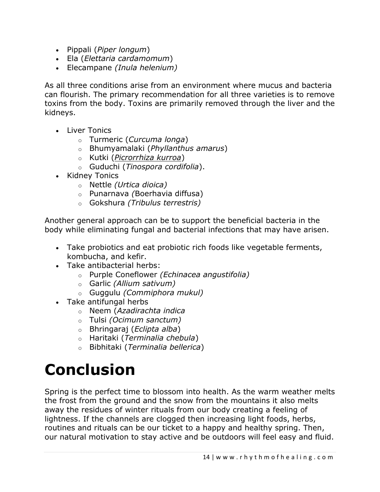- Pippali (*Piper longum*)
- Ela (*Elettaria cardamomum*)
- Elecampane *(Inula helenium)*

As all three conditions arise from an environment where mucus and bacteria can flourish. The primary recommendation for all three varieties is to remove toxins from the body. Toxins are primarily removed through the liver and the kidneys.

- Liver Tonics
	- o Turmeric (*Curcuma longa*)
	- o Bhumyamalaki (*Phyllanthus amarus*)
	- o Kutki (*Picrorrhiza kurroa*)
	- o Guduchi (*Tinospora cordifolia*).
- Kidney Tonics
	- o Nettle *(Urtica dioica)*
	- o Punarnava *(*Boerhavia diffusa)
	- o Gokshura *(Tribulus terrestris)*

Another general approach can be to support the beneficial bacteria in the body while eliminating fungal and bacterial infections that may have arisen.

- Take probiotics and eat probiotic rich foods like vegetable ferments, kombucha, and kefir.
- Take antibacterial herbs:
	- o Purple Coneflower *(Echinacea angustifolia)*
	- o Garlic *(Allium sativum)*
	- o Guggulu *(Commiphora mukul)*
- Take antifungal herbs
	- o Neem (*Azadirachta indica*
	- o Tulsi *(Ocimum sanctum)*
	- o Bhringaraj (*Eclipta alba*)
	- o Haritaki (*Terminalia chebula*)
	- o Bibhitaki (*Terminalia bellerica*)

## <span id="page-13-0"></span>**Conclusion**

Spring is the perfect time to blossom into health. As the warm weather melts the frost from the ground and the snow from the mountains it also melts away the residues of winter rituals from our body creating a feeling of lightness. If the channels are clogged then increasing light foods, herbs, routines and rituals can be our ticket to a happy and healthy spring. Then, our natural motivation to stay active and be outdoors will feel easy and fluid.